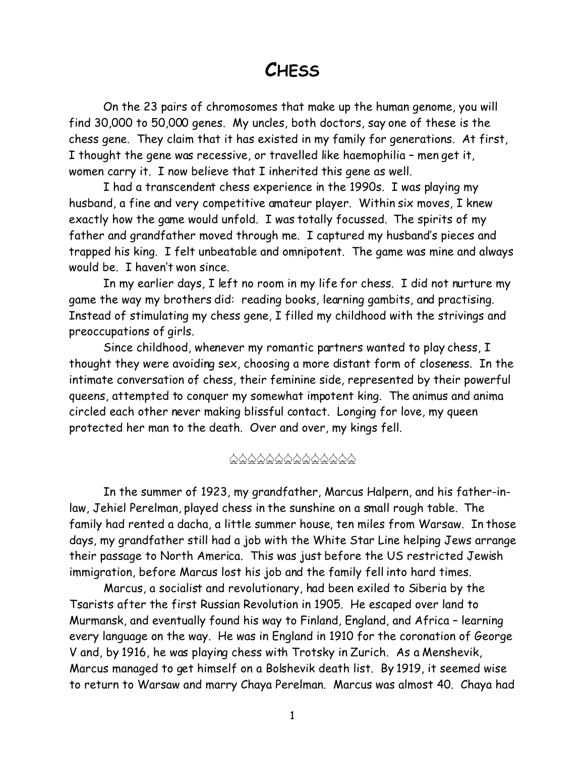# **CHESS**

On the 23 pairs of chromosomes that make up the human genome, you will find 30,000 to 50,000 genes. My uncles, both doctors, say one of these is the chess gene. They claim that it has existed in my family for generations. At first, I thought the gene was recessive, or travelled like haemophilia – men get it, women carry it. I now believe that I inherited this gene as well.

I had a transcendent chess experience in the 1990s. I was playing my husband, a fine and very competitive amateur player. Within six moves, I knew exactly how the game would unfold. I was totally focussed. The spirits of my father and grandfather moved through me. I captured my husband's pieces and trapped his king. I felt unbeatable and omnipotent. The game was mine and always would be. I haven't won since.

In my earlier days, I left no room in my life for chess. I did not nurture my game the way my brothers did: reading books, learning gambits, and practising. Instead of stimulating my chess gene, I filled my childhood with the strivings and preoccupations of girls.

Since childhood, whenever my romantic partners wanted to play chess, I thought they were avoiding sex, choosing a more distant form of closeness. In the intimate conversation of chess, their feminine side, represented by their powerful queens, attempted to conquer my somewhat impotent king. The *animus* and *anima* circled each other never making blissful contact. Longing for love, my queen protected her man to the death. Over and over, my kings fell.

### \$\$\$\$\$\$\$\$\$\$\$\$\$\$

In the summer of 1923, my grandfather, Marcus Halpern, and his father-inlaw, Jehiel Perelman, played chess in the sunshine on a small rough table. The family had rented a *dacha,* a little summer house, ten miles from Warsaw. In those days, my grandfather still had a job with the White Star Line helping Jews arrange their passage to North America. This was just before the US restricted Jewish immigration, before Marcus lost his job and the family fell into hard times.

Marcus, a socialist and revolutionary, had been exiled to Siberia by the Tsarists after the first Russian Revolution in 1905. He escaped over land to Murmansk, and eventually found his way to Finland, England, and Africa – learning every language on the way. He was in England in 1910 for the coronation of George V and, by 1916, he was playing chess with Trotsky in Zurich. As a Menshevik, Marcus managed to get himself on a Bolshevik death list. By 1919, it seemed wise to return to Warsaw and marry Chaya Perelman. Marcus was almost 40. Chaya had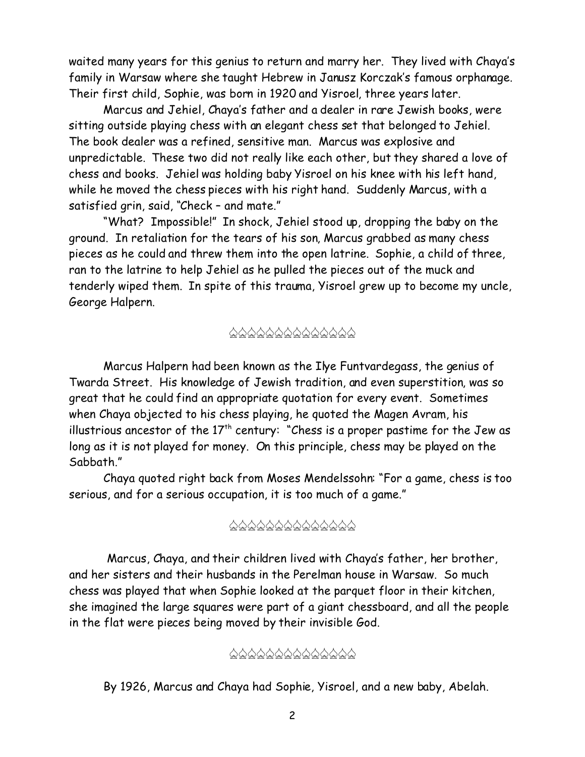waited many years for this genius to return and marry her. They lived with Chaya's family in Warsaw where she taught Hebrew in Janusz Korczak's famous orphanage. Their first child, Sophie, was born in 1920 and Yisroel, three years later.

Marcus and Jehiel, Chaya's father and a dealer in rare Jewish books, were sitting outside playing chess with an elegant chess set that belonged to Jehiel. The book dealer was a refined, sensitive man. Marcus was explosive and unpredictable. These two did not really like each other, but they shared a love of chess and books. Jehiel was holding baby Yisroel on his knee with his left hand, while he moved the chess pieces with his right hand. Suddenly Marcus, with a satisfied grin, said, "Check – and mate."

"What? Impossible!" In shock, Jehiel stood up, dropping the baby on the ground. In retaliation for the tears of his son, Marcus grabbed as many chess pieces as he could and threw them into the open latrine. Sophie, a child of three, ran to the latrine to help Jehiel as he pulled the pieces out of the muck and tenderly wiped them. In spite of this trauma, Yisroel grew up to become my uncle, George Halpern.

## \$\$\$\$\$\$\$\$\$\$\$\$\$\$

Marcus Halpern had been known as the Ilye Funtvardegass, the genius of Twarda Street. His knowledge of Jewish tradition, and even superstition, was so great that he could find an appropriate quotation for every event. Sometimes when Chaya objected to his chess playing, he quoted the Magen Avram, his illustrious ancestor of the  $17<sup>th</sup>$  century: "Chess is a proper pastime for the Jew as long as it is not played for money. On this principle, chess may be played on the Sabbath."

Chaya quoted right back from Moses Mendelssohn: "For a game, chess is too serious, and for a serious occupation, it is too much of a game."

## \$\$\$\$\$\$\$\$\$\$\$\$\$\$

 Marcus, Chaya, and their children lived with Chaya's father, her brother, and her sisters and their husbands in the Perelman house in Warsaw. So much chess was played that when Sophie looked at the parquet floor in their kitchen, she imagined the large squares were part of a giant chessboard, and all the people in the flat were pieces being moved by their invisible God.

#### \$\$\$\$\$\$\$\$\$\$\$\$\$\$

By 1926, Marcus and Chaya had Sophie, Yisroel, and a new baby, Abelah.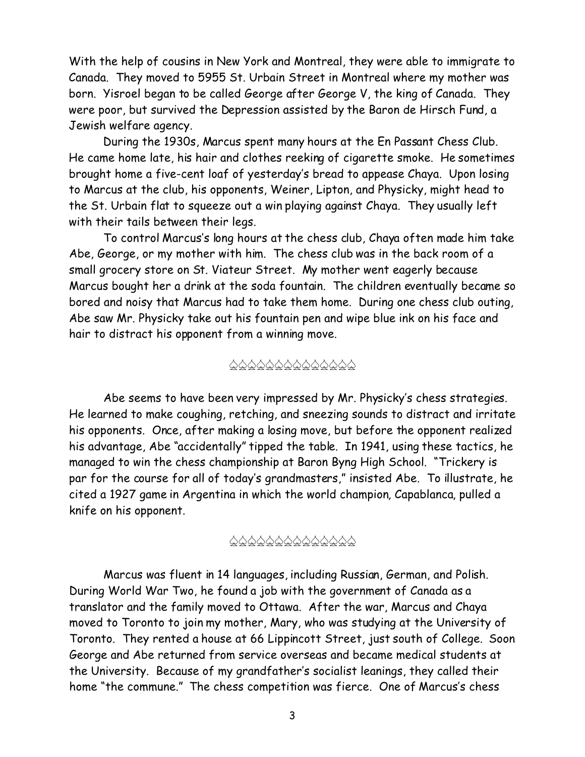With the help of cousins in New York and Montreal, they were able to immigrate to Canada. They moved to 5955 St. Urbain Street in Montreal where my mother was born. Yisroel began to be called George after George V, the king of Canada. They were poor, but survived the Depression assisted by the Baron de Hirsch Fund, a Jewish welfare agency.

During the 1930s, Marcus spent many hours at the En Passant Chess Club. He came home late, his hair and clothes reeking of cigarette smoke. He sometimes brought home a five-cent loaf of yesterday's bread to appease Chaya. Upon losing to Marcus at the club, his opponents, Weiner, Lipton, and Physicky, might head to the St. Urbain flat to squeeze out a win playing against Chaya. They usually left with their tails between their legs.

To control Marcus's long hours at the chess club, Chaya often made him take Abe, George, or my mother with him. The chess club was in the back room of a small grocery store on St. Viateur Street. My mother went eagerly because Marcus bought her a drink at the soda fountain. The children eventually became so bored and noisy that Marcus had to take them home. During one chess club outing, Abe saw Mr. Physicky take out his fountain pen and wipe blue ink on his face and hair to distract his opponent from a winning move.

#### \$\$\$\$\$\$\$\$\$\$\$\$\$\$

Abe seems to have been very impressed by Mr. Physicky's chess strategies. He learned to make coughing, retching, and sneezing sounds to distract and irritate his opponents. Once, after making a losing move, but before the opponent realized his advantage, Abe "accidentally" tipped the table. In 1941, using these tactics, he managed to win the chess championship at Baron Byng High School. "Trickery is par for the course for *all* of today's grandmasters," insisted Abe. To illustrate, he cited a 1927 game in Argentina in which the world champion, Capablanca, pulled a knife on his opponent.

## \$\$\$\$\$\$\$\$\$\$\$\$\$\$

Marcus was fluent in 14 languages, including Russian, German, and Polish. During World War Two, he found a job with the government of Canada as a translator and the family moved to Ottawa. After the war, Marcus and Chaya moved to Toronto to join my mother, Mary, who was studying at the University of Toronto. They rented a house at 66 Lippincott Street, just south of College. Soon George and Abe returned from service overseas and became medical students at the University. Because of my grandfather's socialist leanings, they called their home "the commune." The chess competition was fierce. One of Marcus's chess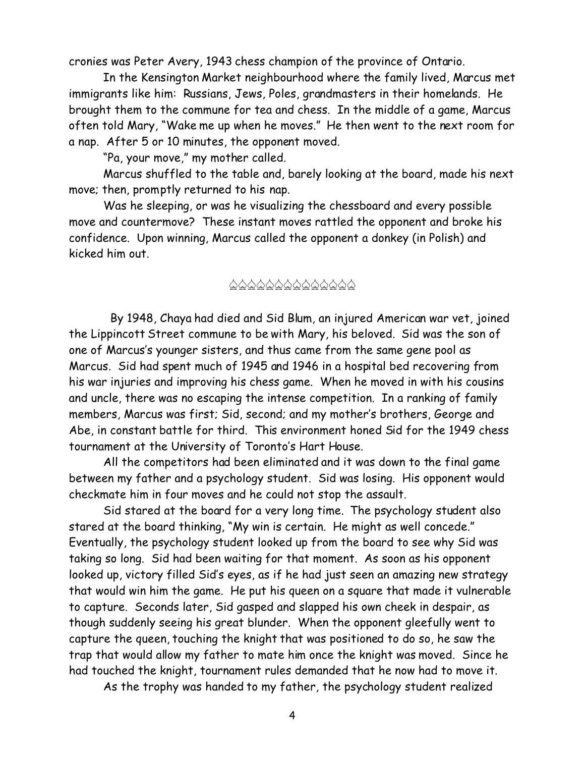cronies was Peter Avery, 1943 chess champion of the province of Ontario.

In the Kensington Market neighbourhood where the family lived, Marcus met immigrants like him: Russians, Jews, Poles, grandmasters in their homelands. He brought them to the commune for tea and chess. In the middle of a game, Marcus often told Mary, "Wake me up when he moves." He then went to the next room for a nap. After 5 or 10 minutes, the opponent moved.

"Pa, your move," my mother called.

Marcus shuffled to the table and, barely looking at the board, made his next move; then, promptly returned to his nap.

Was he sleeping, or was he visualizing the chessboard and every possible move and countermove? These instant moves rattled the opponent and broke his confidence. Upon winning, Marcus called the opponent a donkey (in Polish) and kicked him out.

#### \$\$\$\$\$\$\$\$\$\$\$\$\$\$

 By 1948, Chaya had died and Sid Blum, an injured American war vet, joined the Lippincott Street commune to be with Mary, his beloved. Sid was the son of one of Marcus's younger sisters, and thus came from the same gene pool as Marcus. Sid had spent much of 1945 and 1946 in a hospital bed recovering from his war injuries and improving his chess game. When he moved in with his cousins and uncle, there was no escaping the intense competition. In a ranking of family members, Marcus was first; Sid, second; and my mother's brothers, George and Abe, in constant battle for third. This environment honed Sid for the 1949 chess tournament at the University of Toronto's Hart House.

All the competitors had been eliminated and it was down to the final game between my father and a psychology student. Sid was losing. His opponent would checkmate him in four moves and he could not stop the assault.

Sid stared at the board for a very long time. The psychology student also stared at the board thinking, "My win is certain. He might as well concede." Eventually, the psychology student looked up from the board to see why Sid was taking so long. Sid had been waiting for that moment. As soon as his opponent looked up, victory filled Sid's eyes, as if he had just seen an amazing new strategy that would win him the game. He put his queen on a square that made it vulnerable to capture. Seconds later, Sid gasped and slapped his own cheek in despair, as though suddenly seeing his great blunder. When the opponent gleefully went to capture the queen, touching the knight that was positioned to do so, he saw the trap that would allow my father to mate him once the knight was moved. Since he had touched the knight, tournament rules demanded that he now had to move it.

As the trophy was handed to my father, the psychology student realized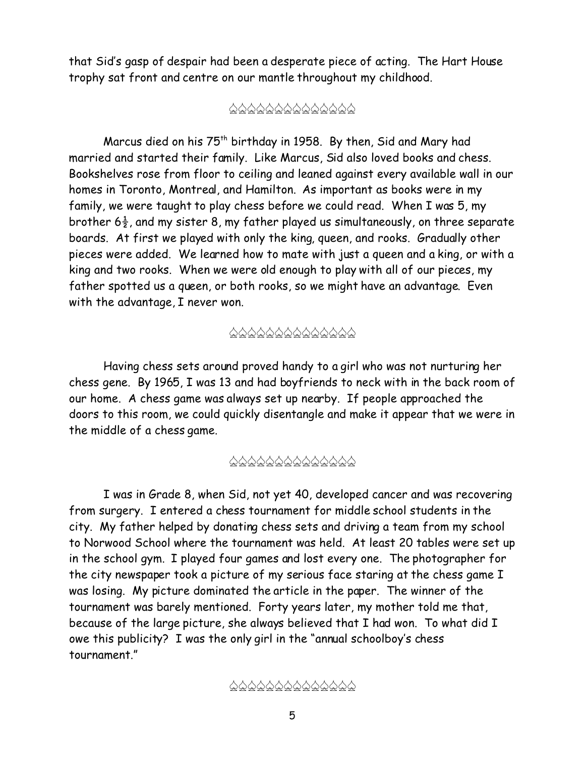that Sid's gasp of despair had been a desperate piece of acting. The Hart House trophy sat front and centre on our mantle throughout my childhood.

## \$\$\$\$\$\$\$\$\$\$\$\$\$\$

Marcus died on his  $75<sup>th</sup>$  birthday in 1958. By then, Sid and Mary had married and started their family. Like Marcus, Sid also loved books and chess. Bookshelves rose from floor to ceiling and leaned against every available wall in our homes in Toronto, Montreal, and Hamilton. As important as books were in my family, we were taught to play chess before we could read. When I was 5, my brother  $6\frac{1}{2}$ , and my sister 8, my father played us simultaneously, on three separate boards. At first we played with only the king, queen, and rooks. Gradually other pieces were added. We learned how to mate with just a queen and a king, or with a king and two rooks. When we were old enough to play with all of our pieces, my father spotted us a queen, or both rooks, so we might have an advantage. Even with the advantage, I never won.

## \$\$\$\$\$\$\$\$\$\$\$\$\$\$

Having chess sets around proved handy to a girl who was not nurturing her chess gene. By 1965, I was 13 and had boyfriends to neck with in the back room of our home. A chess game was always set up nearby. If people approached the doors to this room, we could quickly disentangle and make it appear that we were in the middle of a chess game.

## \$\$\$\$\$\$\$\$\$\$\$\$\$\$

I was in Grade 8, when Sid, not yet 40, developed cancer and was recovering from surgery. I entered a chess tournament for middle school students in the city. My father helped by donating chess sets and driving a team from my school to Norwood School where the tournament was held. At least 20 tables were set up in the school gym. I played four games and lost every one. The photographer for the city newspaper took a picture of my serious face staring at the chess game I was losing. My picture dominated the article in the paper. The winner of the tournament was barely mentioned. Forty years later, my mother told me that, because of the large picture, she always believed that I had won. To what did I owe this publicity? I was the only girl in the "annual schoolboy's chess tournament."

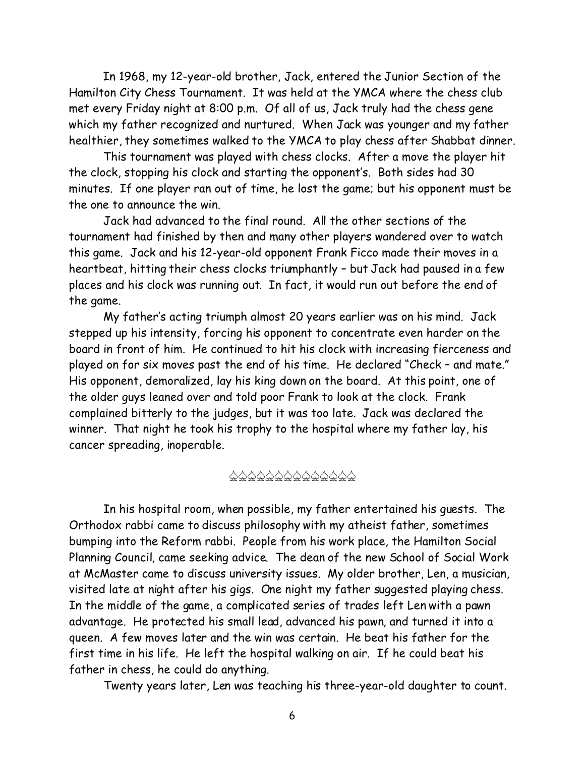In 1968, my 12-year-old brother, Jack, entered the Junior Section of the Hamilton City Chess Tournament. It was held at the YMCA where the chess club met every Friday night at 8:00 p.m. Of all of us, Jack truly *had* the chess gene which my father recognized and nurtured. When Jack was younger and my father healthier, they sometimes walked to the YMCA to play chess after Shabbat dinner.

This tournament was played with chess clocks. After a move the player hit the clock, stopping his clock and starting the opponent's. Both sides had 30 minutes. If one player ran out of time, he lost the game; but his opponent must be the one to announce the win.

Jack had advanced to the final round. All the other sections of the tournament had finished by then and many other players wandered over to watch this game. Jack and his 12-year-old opponent Frank Ficco made their moves in a heartbeat, hitting their chess clocks triumphantly – but Jack had paused in a few places and his clock was running out. In fact, it would run out before the end of the game.

My father's acting triumph almost 20 years earlier was on his mind. Jack stepped up his intensity, forcing his opponent to concentrate even harder on the board in front of him. He continued to hit his clock with increasing fierceness and played on for six moves past the end of his time. He declared "Check – and mate." His opponent, demoralized, lay his king down on the board. At this point, one of the older guys leaned over and told poor Frank to look at the clock. Frank complained bitterly to the judges, but it was too late. Jack was declared the winner. That night he took his trophy to the hospital where my father lay, his cancer spreading, inoperable.

#### \$\$\$\$\$\$\$\$\$\$\$\$\$\$

In his hospital room, when possible, my father entertained his guests. The Orthodox rabbi came to discuss philosophy with my atheist father, sometimes bumping into the Reform rabbi. People from his work place, the Hamilton Social Planning Council, came seeking advice. The dean of the new School of Social Work at McMaster came to discuss university issues. My older brother, Len, a musician, visited late at night after his gigs. One night my father suggested playing chess. In the middle of the game, a complicated series of trades left Len with a pawn advantage. He protected his small lead, advanced his pawn, and turned it into a queen. A few moves later and the win was certain. He beat his father for the first time in his life. He left the hospital walking on air. If he could beat his father in chess, he could do anything.

Twenty years later, Len was teaching his three-year-old daughter to count.